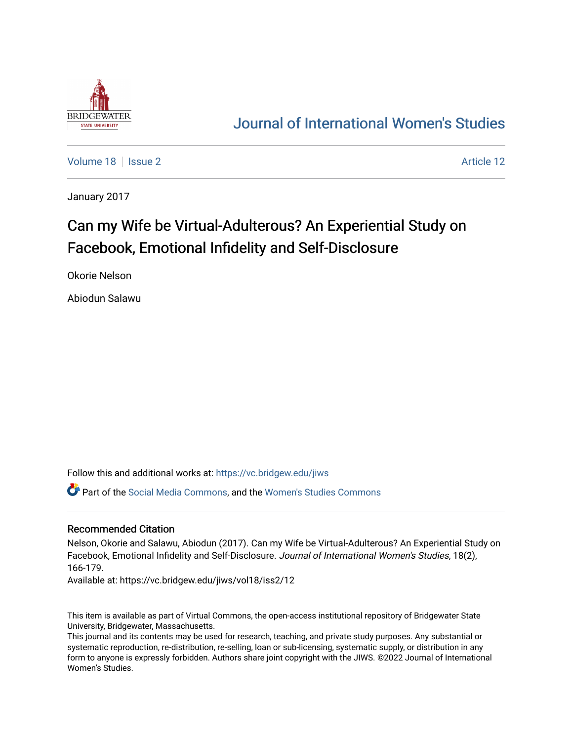

## [Journal of International Women's Studies](https://vc.bridgew.edu/jiws)

[Volume 18](https://vc.bridgew.edu/jiws/vol18) | [Issue 2](https://vc.bridgew.edu/jiws/vol18/iss2) Article 12

January 2017

# Can my Wife be Virtual-Adulterous? An Experiential Study on Facebook, Emotional Infidelity and Self-Disclosure

Okorie Nelson

Abiodun Salawu

Follow this and additional works at: [https://vc.bridgew.edu/jiws](https://vc.bridgew.edu/jiws?utm_source=vc.bridgew.edu%2Fjiws%2Fvol18%2Fiss2%2F12&utm_medium=PDF&utm_campaign=PDFCoverPages)

Part of the [Social Media Commons](http://network.bepress.com/hgg/discipline/1249?utm_source=vc.bridgew.edu%2Fjiws%2Fvol18%2Fiss2%2F12&utm_medium=PDF&utm_campaign=PDFCoverPages), and the [Women's Studies Commons](http://network.bepress.com/hgg/discipline/561?utm_source=vc.bridgew.edu%2Fjiws%2Fvol18%2Fiss2%2F12&utm_medium=PDF&utm_campaign=PDFCoverPages)

#### Recommended Citation

Nelson, Okorie and Salawu, Abiodun (2017). Can my Wife be Virtual-Adulterous? An Experiential Study on Facebook, Emotional Infidelity and Self-Disclosure. Journal of International Women's Studies, 18(2), 166-179.

Available at: https://vc.bridgew.edu/jiws/vol18/iss2/12

This item is available as part of Virtual Commons, the open-access institutional repository of Bridgewater State University, Bridgewater, Massachusetts.

This journal and its contents may be used for research, teaching, and private study purposes. Any substantial or systematic reproduction, re-distribution, re-selling, loan or sub-licensing, systematic supply, or distribution in any form to anyone is expressly forbidden. Authors share joint copyright with the JIWS. ©2022 Journal of International Women's Studies.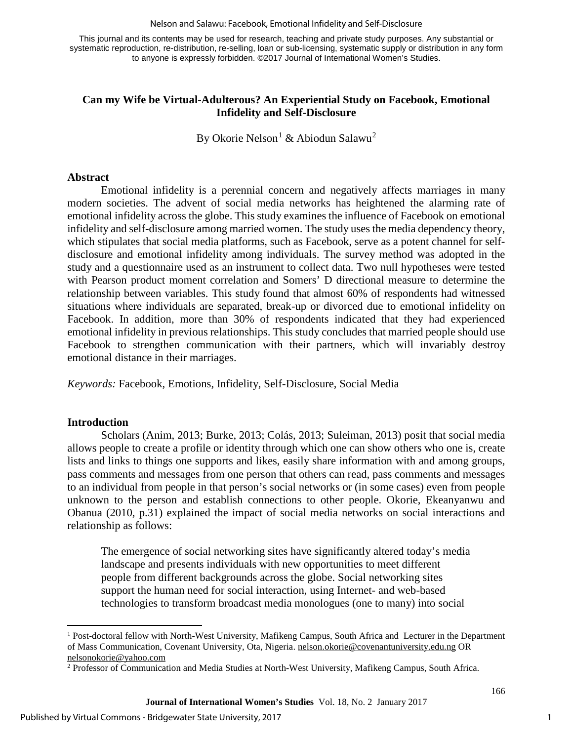#### Nelson and Salawu: Facebook, Emotional Infidelity and Self-Disclosure

This journal and its contents may be used for research, teaching and private study purposes. Any substantial or systematic reproduction, re-distribution, re-selling, loan or sub-licensing, systematic supply or distribution in any form to anyone is expressly forbidden. ©2017 Journal of International Women's Studies.

#### **Can my Wife be Virtual-Adulterous? An Experiential Study on Facebook, Emotional Infidelity and Self-Disclosure**

By Okorie Nelson<sup>[1](#page-1-0)</sup> & Abiodun Salawu<sup>[2](#page-1-1)</sup>

#### **Abstract**

Emotional infidelity is a perennial concern and negatively affects marriages in many modern societies. The advent of social media networks has heightened the alarming rate of emotional infidelity across the globe. This study examines the influence of Facebook on emotional infidelity and self-disclosure among married women. The study uses the media dependency theory, which stipulates that social media platforms, such as Facebook, serve as a potent channel for selfdisclosure and emotional infidelity among individuals. The survey method was adopted in the study and a questionnaire used as an instrument to collect data. Two null hypotheses were tested with Pearson product moment correlation and Somers' D directional measure to determine the relationship between variables. This study found that almost 60% of respondents had witnessed situations where individuals are separated, break-up or divorced due to emotional infidelity on Facebook. In addition, more than 30% of respondents indicated that they had experienced emotional infidelity in previous relationships. This study concludes that married people should use Facebook to strengthen communication with their partners, which will invariably destroy emotional distance in their marriages.

*Keywords:* Facebook, Emotions, Infidelity, Self-Disclosure, Social Media

#### **Introduction**

l

Scholars (Anim, 2013; Burke, 2013; Colás, 2013; Suleiman, 2013) posit that social media allows people to create a profile or identity through which one can show others who one is, create lists and links to things one supports and likes, easily share information with and among groups, pass comments and messages from one person that others can read, pass comments and messages to an individual from people in that person's social networks or (in some cases) even from people unknown to the person and establish connections to other people. Okorie, Ekeanyanwu and Obanua (2010, p.31) explained the impact of social media networks on social interactions and relationship as follows:

The emergence of social networking sites have significantly altered today's media landscape and presents individuals with new opportunities to meet different people from different backgrounds across the globe. Social networking sites support the human need for social interaction, using Internet- and web-based technologies to transform broadcast media monologues (one to many) into social

<span id="page-1-0"></span><sup>1</sup> Post-doctoral fellow with North-West University, Mafikeng Campus, South Africa and Lecturer in the Department of Mass Communication, Covenant University, Ota, Nigeria. [nelson.okorie@covenantuniversity.edu.ng](mailto:nelson.okorie@covenantuniversity.edu.ng) OR [nelsonokorie@yahoo.com](mailto:nelsonokorie@yahoo.com)

<span id="page-1-1"></span><sup>2</sup> Professor of Communication and Media Studies at North-West University, Mafikeng Campus, South Africa.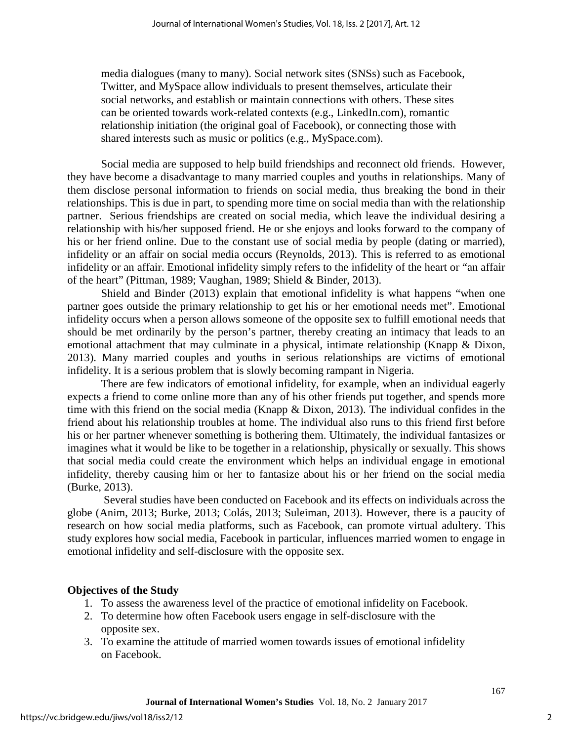media dialogues (many to many). Social network sites (SNSs) such as Facebook, Twitter, and MySpace allow individuals to present themselves, articulate their social networks, and establish or maintain connections with others. These sites can be oriented towards work-related contexts (e.g., LinkedIn.com), romantic relationship initiation (the original goal of Facebook), or connecting those with shared interests such as music or politics (e.g., MySpace.com).

Social media are supposed to help build friendships and reconnect old friends. However, they have become a disadvantage to many married couples and youths in relationships. Many of them disclose personal information to friends on social media, thus breaking the bond in their relationships. This is due in part, to spending more time on social media than with the relationship partner. Serious friendships are created on social media, which leave the individual desiring a relationship with his/her supposed friend. He or she enjoys and looks forward to the company of his or her friend online. Due to the constant use of social media by people (dating or married), infidelity or an affair on social media occurs (Reynolds, 2013). This is referred to as emotional infidelity or an affair. Emotional infidelity simply refers to the infidelity of the heart or "an affair of the heart" (Pittman, 1989; Vaughan, 1989; Shield & Binder, 2013).

Shield and Binder (2013) explain that emotional infidelity is what happens "when one partner goes outside the primary relationship to get his or her emotional needs met". Emotional infidelity occurs when a person allows someone of the opposite sex to fulfill emotional needs that should be met ordinarily by the person's partner, thereby creating an intimacy that leads to an emotional attachment that may culminate in a physical, intimate relationship (Knapp & Dixon, 2013). Many married couples and youths in serious relationships are victims of emotional infidelity. It is a serious problem that is slowly becoming rampant in Nigeria.

There are few indicators of emotional infidelity, for example, when an individual eagerly expects a friend to come online more than any of his other friends put together, and spends more time with this friend on the social media (Knapp & Dixon, 2013). The individual confides in the friend about his relationship troubles at home. The individual also runs to this friend first before his or her partner whenever something is bothering them. Ultimately, the individual fantasizes or imagines what it would be like to be together in a relationship, physically or sexually. This shows that social media could create the environment which helps an individual engage in emotional infidelity, thereby causing him or her to fantasize about his or her friend on the social media (Burke, 2013).

Several studies have been conducted on Facebook and its effects on individuals across the globe (Anim, 2013; Burke, 2013; Colás, 2013; Suleiman, 2013). However, there is a paucity of research on how social media platforms, such as Facebook, can promote virtual adultery. This study explores how social media, Facebook in particular, influences married women to engage in emotional infidelity and self-disclosure with the opposite sex.

#### **Objectives of the Study**

- 1. To assess the awareness level of the practice of emotional infidelity on Facebook.
- 2. To determine how often Facebook users engage in self-disclosure with the opposite sex.
- 3. To examine the attitude of married women towards issues of emotional infidelity on Facebook.

2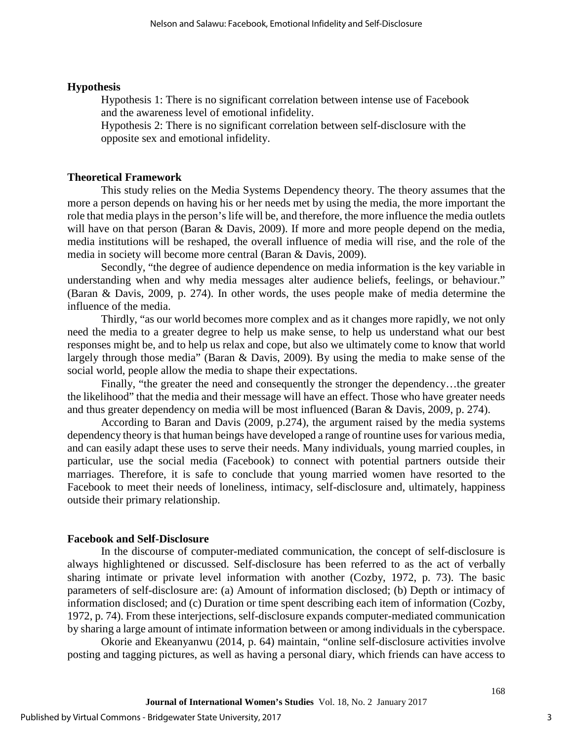#### **Hypothesis**

Hypothesis 1: There is no significant correlation between intense use of Facebook and the awareness level of emotional infidelity.

Hypothesis 2: There is no significant correlation between self-disclosure with the opposite sex and emotional infidelity.

#### **Theoretical Framework**

This study relies on the Media Systems Dependency theory. The theory assumes that the more a person depends on having his or her needs met by using the media, the more important the role that media plays in the person's life will be, and therefore, the more influence the media outlets will have on that person (Baran & Davis, 2009). If more and more people depend on the media, media institutions will be reshaped, the overall influence of media will rise, and the role of the media in society will become more central (Baran & Davis, 2009).

Secondly, "the degree of audience dependence on media information is the key variable in understanding when and why media messages alter audience beliefs, feelings, or behaviour." (Baran & Davis, 2009, p. 274). In other words, the uses people make of media determine the influence of the media.

Thirdly, "as our world becomes more complex and as it changes more rapidly, we not only need the media to a greater degree to help us make sense, to help us understand what our best responses might be, and to help us relax and cope, but also we ultimately come to know that world largely through those media" (Baran & Davis, 2009). By using the media to make sense of the social world, people allow the media to shape their expectations.

Finally, "the greater the need and consequently the stronger the dependency…the greater the likelihood" that the media and their message will have an effect. Those who have greater needs and thus greater dependency on media will be most influenced (Baran & Davis, 2009, p. 274).

According to Baran and Davis (2009, p.274), the argument raised by the media systems dependency theory isthat human beings have developed a range of rountine uses for various media, and can easily adapt these uses to serve their needs. Many individuals, young married couples, in particular, use the social media (Facebook) to connect with potential partners outside their marriages. Therefore, it is safe to conclude that young married women have resorted to the Facebook to meet their needs of loneliness, intimacy, self-disclosure and, ultimately, happiness outside their primary relationship.

#### **Facebook and Self-Disclosure**

In the discourse of computer-mediated communication, the concept of self-disclosure is always highlightened or discussed. Self-disclosure has been referred to as the act of verbally sharing intimate or private level information with another (Cozby, 1972, p. 73). The basic parameters of self-disclosure are: (a) Amount of information disclosed; (b) Depth or intimacy of information disclosed; and (c) Duration or time spent describing each item of information (Cozby, 1972, p. 74). From these interjections, self-disclosure expands computer-mediated communication by sharing a large amount of intimate information between or among individuals in the cyberspace.

Okorie and Ekeanyanwu (2014, p. 64) maintain, "online self-disclosure activities involve posting and tagging pictures, as well as having a personal diary, which friends can have access to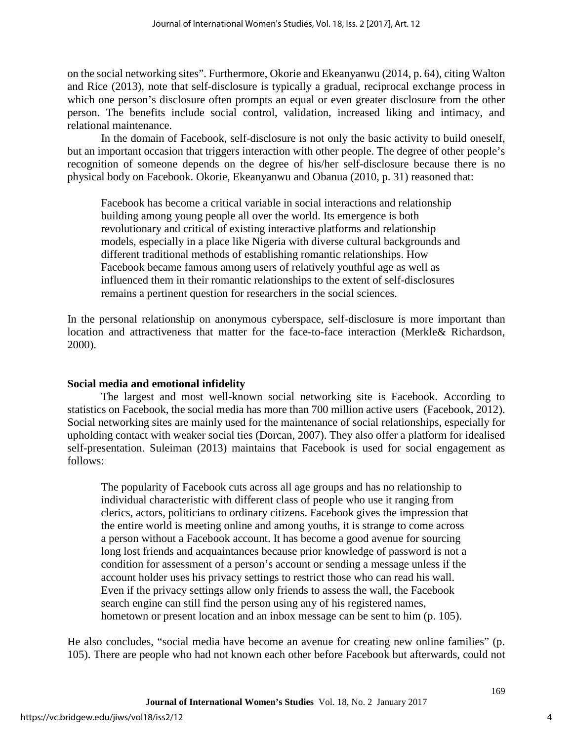on the social networking sites". Furthermore, Okorie and Ekeanyanwu (2014, p. 64), citing Walton and Rice (2013), note that self-disclosure is typically a gradual, reciprocal exchange process in which one person's disclosure often prompts an equal or even greater disclosure from the other person. The benefits include social control, validation, increased liking and intimacy, and relational maintenance.

In the domain of Facebook, self-disclosure is not only the basic activity to build oneself, but an important occasion that triggers interaction with other people. The degree of other people's recognition of someone depends on the degree of his/her self-disclosure because there is no physical body on Facebook. Okorie, Ekeanyanwu and Obanua (2010, p. 31) reasoned that:

Facebook has become a critical variable in social interactions and relationship building among young people all over the world. Its emergence is both revolutionary and critical of existing interactive platforms and relationship models, especially in a place like Nigeria with diverse cultural backgrounds and different traditional methods of establishing romantic relationships. How Facebook became famous among users of relatively youthful age as well as influenced them in their romantic relationships to the extent of self-disclosures remains a pertinent question for researchers in the social sciences.

In the personal relationship on anonymous cyberspace, self-disclosure is more important than location and attractiveness that matter for the face-to-face interaction (Merkle& Richardson, 2000).

### **Social media and emotional infidelity**

The largest and most well-known social networking site is Facebook. According to statistics on Facebook, the social media has more than 700 million active users (Facebook, 2012). Social networking sites are mainly used for the maintenance of social relationships, especially for upholding contact with weaker social ties (Dorcan, 2007). They also offer a platform for idealised self-presentation. Suleiman (2013) maintains that Facebook is used for social engagement as follows:

The popularity of Facebook cuts across all age groups and has no relationship to individual characteristic with different class of people who use it ranging from clerics, actors, politicians to ordinary citizens. Facebook gives the impression that the entire world is meeting online and among youths, it is strange to come across a person without a Facebook account. It has become a good avenue for sourcing long lost friends and acquaintances because prior knowledge of password is not a condition for assessment of a person's account or sending a message unless if the account holder uses his privacy settings to restrict those who can read his wall. Even if the privacy settings allow only friends to assess the wall, the Facebook search engine can still find the person using any of his registered names, hometown or present location and an inbox message can be sent to him (p. 105).

He also concludes, "social media have become an avenue for creating new online families" (p. 105). There are people who had not known each other before Facebook but afterwards, could not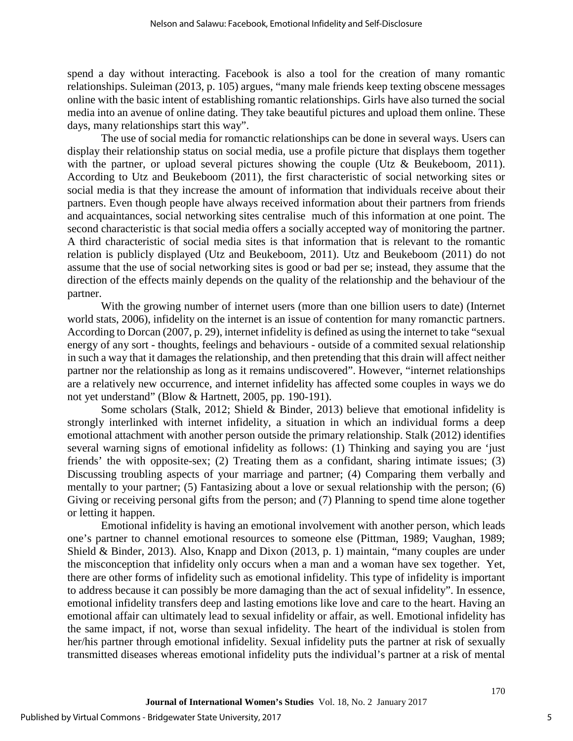spend a day without interacting. Facebook is also a tool for the creation of many romantic relationships. Suleiman (2013, p. 105) argues, "many male friends keep texting obscene messages online with the basic intent of establishing romantic relationships. Girls have also turned the social media into an avenue of online dating. They take beautiful pictures and upload them online. These days, many relationships start this way".

The use of social media for romanctic relationships can be done in several ways. Users can display their relationship status on social media, use a profile picture that displays them together with the partner, or upload several pictures showing the couple (Utz & Beukeboom, 2011). According to Utz and Beukeboom (2011), the first characteristic of social networking sites or social media is that they increase the amount of information that individuals receive about their partners. Even though people have always received information about their partners from friends and acquaintances, social networking sites centralise much of this information at one point. The second characteristic is that social media offers a socially accepted way of monitoring the partner. A third characteristic of social media sites is that information that is relevant to the romantic relation is publicly displayed (Utz and Beukeboom, 2011). Utz and Beukeboom (2011) do not assume that the use of social networking sites is good or bad per se; instead, they assume that the direction of the effects mainly depends on the quality of the relationship and the behaviour of the partner.

With the growing number of internet users (more than one billion users to date) (Internet world stats, 2006), infidelity on the internet is an issue of contention for many romanctic partners. According to Dorcan (2007, p. 29), internet infidelity is defined as using the internet to take "sexual energy of any sort - thoughts, feelings and behaviours - outside of a commited sexual relationship in such a way that it damages the relationship, and then pretending that this drain will affect neither partner nor the relationship as long as it remains undiscovered". However, "internet relationships are a relatively new occurrence, and internet infidelity has affected some couples in ways we do not yet understand" (Blow & Hartnett, 2005, pp. 190-191).

Some scholars (Stalk, 2012; Shield & Binder, 2013) believe that emotional infidelity is strongly interlinked with internet infidelity, a situation in which an individual forms a deep emotional attachment with another person outside the primary relationship. Stalk (2012) identifies several warning signs of emotional infidelity as follows: (1) Thinking and saying you are 'just friends' the with opposite-sex; (2) Treating them as a confidant, sharing intimate issues; (3) Discussing troubling aspects of your marriage and partner; (4) Comparing them verbally and mentally to your partner; (5) Fantasizing about a love or sexual relationship with the person; (6) Giving or receiving personal gifts from the person; and (7) Planning to spend time alone together or letting it happen.

Emotional infidelity is having an emotional involvement with another person, which leads one's partner to channel emotional resources to someone else (Pittman, 1989; Vaughan, 1989; Shield & Binder, 2013). Also, Knapp and Dixon (2013, p. 1) maintain, "many couples are under the misconception that infidelity only occurs when a man and a woman have sex together. Yet, there are other forms of infidelity such as emotional infidelity. This type of infidelity is important to address because it can possibly be more damaging than the act of sexual infidelity". In essence, emotional infidelity transfers deep and lasting emotions like love and care to the heart. Having an emotional affair can ultimately lead to sexual infidelity or affair, as well. Emotional infidelity has the same impact, if not, worse than sexual infidelity. The heart of the individual is stolen from her/his partner through emotional infidelity. Sexual infidelity puts the partner at risk of sexually transmitted diseases whereas emotional infidelity puts the individual's partner at a risk of mental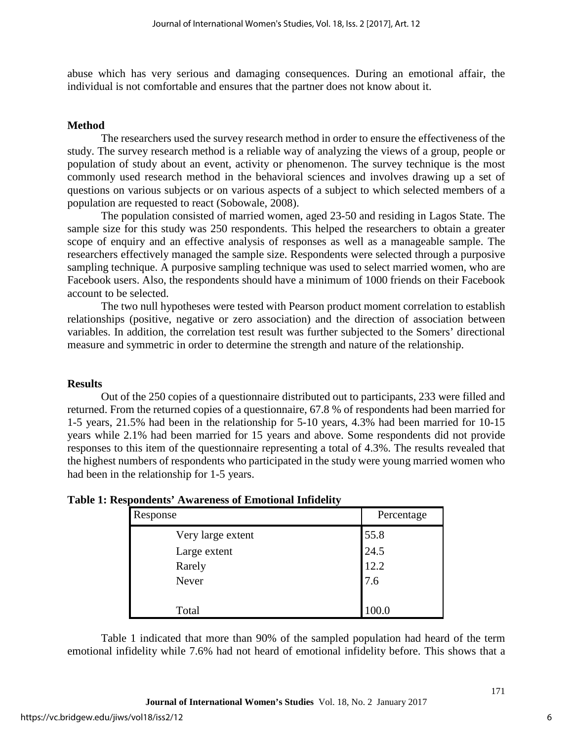abuse which has very serious and damaging consequences. During an emotional affair, the individual is not comfortable and ensures that the partner does not know about it.

#### **Method**

The researchers used the survey research method in order to ensure the effectiveness of the study. The survey research method is a reliable way of analyzing the views of a group, people or population of study about an event, activity or phenomenon. The survey technique is the most commonly used research method in the behavioral sciences and involves drawing up a set of questions on various subjects or on various aspects of a subject to which selected members of a population are requested to react (Sobowale, 2008).

The population consisted of married women, aged 23-50 and residing in Lagos State. The sample size for this study was 250 respondents. This helped the researchers to obtain a greater scope of enquiry and an effective analysis of responses as well as a manageable sample. The researchers effectively managed the sample size. Respondents were selected through a purposive sampling technique. A purposive sampling technique was used to select married women, who are Facebook users. Also, the respondents should have a minimum of 1000 friends on their Facebook account to be selected.

The two null hypotheses were tested with Pearson product moment correlation to establish relationships (positive, negative or zero association) and the direction of association between variables. In addition, the correlation test result was further subjected to the Somers' directional measure and symmetric in order to determine the strength and nature of the relationship.

#### **Results**

Out of the 250 copies of a questionnaire distributed out to participants, 233 were filled and returned. From the returned copies of a questionnaire, 67.8 % of respondents had been married for 1-5 years, 21.5% had been in the relationship for 5-10 years, 4.3% had been married for 10-15 years while 2.1% had been married for 15 years and above. Some respondents did not provide responses to this item of the questionnaire representing a total of 4.3%. The results revealed that the highest numbers of respondents who participated in the study were young married women who had been in the relationship for 1-5 years.

| Response          | Percentage |
|-------------------|------------|
| Very large extent | 55.8       |
| Large extent      | 24.5       |
| Rarely            | 12.2       |
| Never             | 7.6        |
|                   |            |
| Total             | 100.0      |

Table 1 indicated that more than 90% of the sampled population had heard of the term emotional infidelity while 7.6% had not heard of emotional infidelity before. This shows that a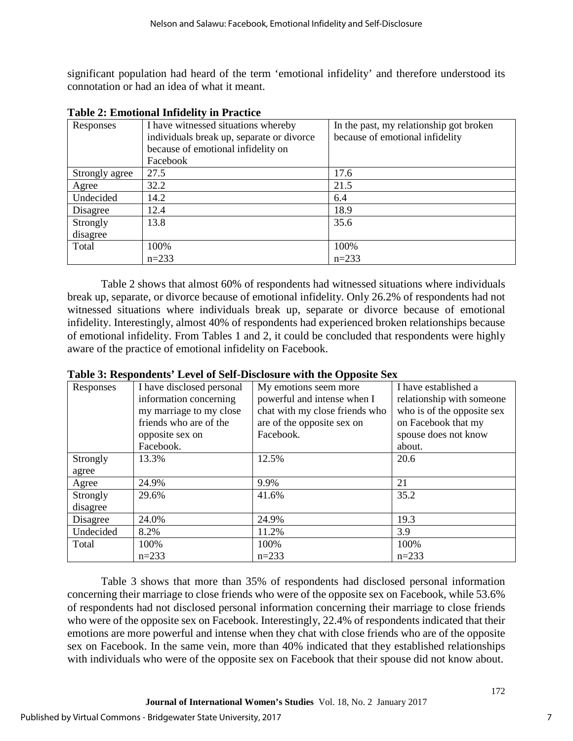significant population had heard of the term 'emotional infidelity' and therefore understood its connotation or had an idea of what it meant.

| Responses      | I have witnessed situations whereby       | In the past, my relationship got broken |
|----------------|-------------------------------------------|-----------------------------------------|
|                | individuals break up, separate or divorce | because of emotional infidelity         |
|                | because of emotional infidelity on        |                                         |
|                | Facebook                                  |                                         |
| Strongly agree | 27.5                                      | 17.6                                    |
| Agree          | 32.2                                      | 21.5                                    |
| Undecided      | 14.2                                      | 6.4                                     |
| Disagree       | 12.4                                      | 18.9                                    |
| Strongly       | 13.8                                      | 35.6                                    |
| disagree       |                                           |                                         |
| Total          | 100%                                      | 100%                                    |
|                | $n = 233$                                 | $n=233$                                 |

**Table 2: Emotional Infidelity in Practice** 

Table 2 shows that almost 60% of respondents had witnessed situations where individuals break up, separate, or divorce because of emotional infidelity. Only 26.2% of respondents had not witnessed situations where individuals break up, separate or divorce because of emotional infidelity. Interestingly, almost 40% of respondents had experienced broken relationships because of emotional infidelity. From Tables 1 and 2, it could be concluded that respondents were highly aware of the practice of emotional infidelity on Facebook.

| Responses | I have disclosed personal | My emotions seem more          | I have established a       |
|-----------|---------------------------|--------------------------------|----------------------------|
|           | information concerning    | powerful and intense when I    | relationship with someone  |
|           | my marriage to my close   | chat with my close friends who | who is of the opposite sex |
|           | friends who are of the    | are of the opposite sex on     | on Facebook that my        |
|           | opposite sex on           | Facebook.                      | spouse does not know       |
|           | Facebook.                 |                                | about.                     |
| Strongly  | 13.3%                     | 12.5%                          | 20.6                       |
| agree     |                           |                                |                            |
| Agree     | 24.9%                     | 9.9%                           | 21                         |
| Strongly  | 29.6%                     | 41.6%                          | 35.2                       |
| disagree  |                           |                                |                            |
| Disagree  | 24.0%                     | 24.9%                          | 19.3                       |
| Undecided | 8.2%                      | 11.2%                          | 3.9                        |
| Total     | 100%                      | 100%                           | 100%                       |
|           | $n=233$                   | $n=233$                        | $n=233$                    |

**Table 3: Respondents' Level of Self-Disclosure with the Opposite Sex**

Table 3 shows that more than 35% of respondents had disclosed personal information concerning their marriage to close friends who were of the opposite sex on Facebook, while 53.6% of respondents had not disclosed personal information concerning their marriage to close friends who were of the opposite sex on Facebook. Interestingly, 22.4% of respondents indicated that their emotions are more powerful and intense when they chat with close friends who are of the opposite sex on Facebook. In the same vein, more than 40% indicated that they established relationships with individuals who were of the opposite sex on Facebook that their spouse did not know about.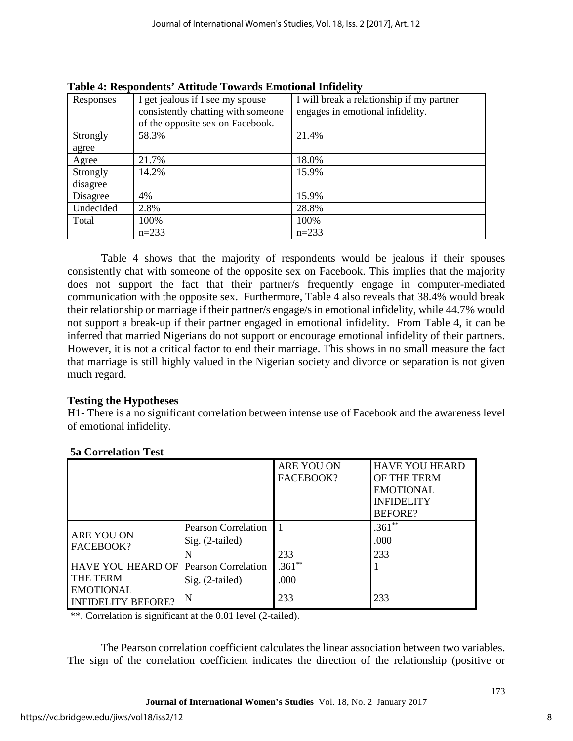| Responses | I get jealous if I see my spouse   | I will break a relationship if my partner |
|-----------|------------------------------------|-------------------------------------------|
|           | consistently chatting with someone | engages in emotional infidelity.          |
|           | of the opposite sex on Facebook.   |                                           |
| Strongly  | 58.3%                              | 21.4%                                     |
| agree     |                                    |                                           |
| Agree     | 21.7%                              | 18.0%                                     |
| Strongly  | 14.2%                              | 15.9%                                     |
| disagree  |                                    |                                           |
| Disagree  | 4%                                 | 15.9%                                     |
| Undecided | 2.8%                               | 28.8%                                     |
| Total     | 100%                               | 100%                                      |
|           | $n=233$                            | $n=233$                                   |

**Table 4: Respondents' Attitude Towards Emotional Infidelity**

Table 4 shows that the majority of respondents would be jealous if their spouses consistently chat with someone of the opposite sex on Facebook. This implies that the majority does not support the fact that their partner/s frequently engage in computer-mediated communication with the opposite sex. Furthermore, Table 4 also reveals that 38.4% would break their relationship or marriage if their partner/s engage/s in emotional infidelity, while 44.7% would not support a break-up if their partner engaged in emotional infidelity. From Table 4, it can be inferred that married Nigerians do not support or encourage emotional infidelity of their partners. However, it is not a critical factor to end their marriage. This shows in no small measure the fact that marriage is still highly valued in the Nigerian society and divorce or separation is not given much regard.

### **Testing the Hypotheses**

H1- There is a no significant correlation between intense use of Facebook and the awareness level of emotional infidelity.

|                                                          |                                                      | ARE YOU ON<br>FACEBOOK? | <b>HAVE YOU HEARD</b><br>OF THE TERM<br><b>EMOTIONAL</b><br><b>INFIDELITY</b><br><b>BEFORE?</b> |
|----------------------------------------------------------|------------------------------------------------------|-------------------------|-------------------------------------------------------------------------------------------------|
| ARE YOU ON<br>FACEBOOK?                                  | <b>Pearson Correlation</b><br>$Sig. (2-tailed)$<br>N | 233                     | $.361**$<br>.000<br>233                                                                         |
| HAVE YOU HEARD OF Pearson Correlation<br><b>THE TERM</b> | Sig. (2-tailed)                                      | $.361**$<br>.000        |                                                                                                 |
| <b>EMOTIONAL</b><br><b>INFIDELITY BEFORE?</b>            | N                                                    | 233                     | 233                                                                                             |

### **5a Correlation Test**

\*\*. Correlation is significant at the 0.01 level (2-tailed).

The Pearson correlation coefficient calculates the linear association between two variables. The sign of the correlation coefficient indicates the direction of the relationship (positive or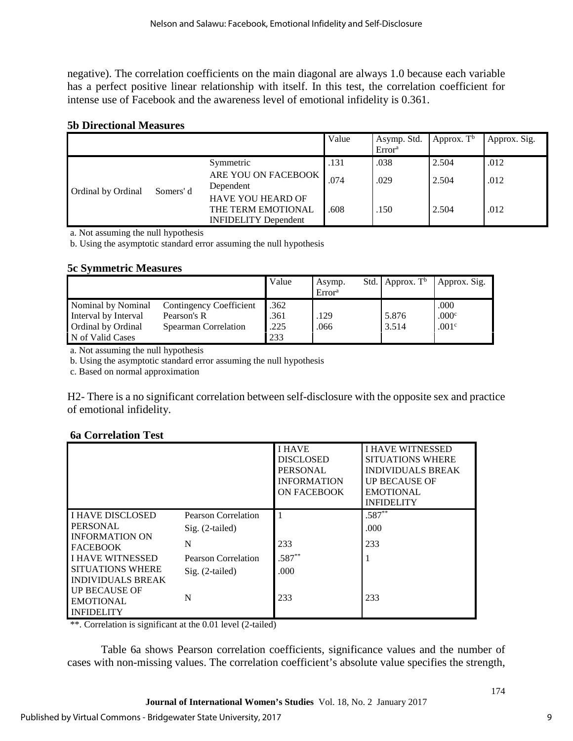negative). The correlation coefficients on the main diagonal are always 1.0 because each variable has a perfect positive linear relationship with itself. In this test, the correlation coefficient for intense use of Facebook and the awareness level of emotional infidelity is 0.361.

#### **5b Directional Measures**

|                    |           |                                                                               | Value | Asymp. Std.<br>Error <sup>a</sup> | Approx. $Tb$ | Approx. Sig. |
|--------------------|-----------|-------------------------------------------------------------------------------|-------|-----------------------------------|--------------|--------------|
|                    |           | Symmetric                                                                     | .131  | .038                              | 2.504        | .012         |
| Ordinal by Ordinal | Somers' d | ARE YOU ON FACEBOOK<br>Dependent                                              | .074  | .029                              | 2.504        | .012         |
|                    |           | <b>HAVE YOU HEARD OF</b><br>THE TERM EMOTIONAL<br><b>INFIDELITY</b> Dependent | .608  | 150                               | 2.504        | .012         |

a. Not assuming the null hypothesis

b. Using the asymptotic standard error assuming the null hypothesis

#### **5c Symmetric Measures**

|                                                                                             |                                                                | Value                       | Asymp.<br>Error <sup>a</sup> | Std. Approx. $T^b$ | Approx. Sig.                       |
|---------------------------------------------------------------------------------------------|----------------------------------------------------------------|-----------------------------|------------------------------|--------------------|------------------------------------|
| Nominal by Nominal<br>Interval by Interval<br><b>Ordinal by Ordinal</b><br>N of Valid Cases | Contingency Coefficient<br>Pearson's R<br>Spearman Correlation | .362<br>.361<br>.225<br>233 | .129<br>.066                 | 5.876<br>3.514     | .000<br>.000c<br>.001 <sup>c</sup> |

a. Not assuming the null hypothesis

b. Using the asymptotic standard error assuming the null hypothesis

c. Based on normal approximation

H2- There is a no significant correlation between self-disclosure with the opposite sex and practice of emotional infidelity.

#### **6a Correlation Test**

|                                                                             |                                        | <b>I HAVE</b><br><b>DISCLOSED</b><br><b>PERSONAL</b><br><b>INFORMATION</b><br>ON FACEBOOK | <b>I HAVE WITNESSED</b><br><b>SITUATIONS WHERE</b><br><b>INDIVIDUALS BREAK</b><br><b>UP BECAUSE OF</b><br><b>EMOTIONAL</b><br><b>INFIDELITY</b> |
|-----------------------------------------------------------------------------|----------------------------------------|-------------------------------------------------------------------------------------------|-------------------------------------------------------------------------------------------------------------------------------------------------|
| <b>I HAVE DISCLOSED</b><br><b>PERSONAL</b><br><b>INFORMATION ON</b>         | Pearson Correlation<br>Sig. (2-tailed) |                                                                                           | $.587**$<br>.000.                                                                                                                               |
| <b>FACEBOOK</b>                                                             | N                                      | 233                                                                                       | 233                                                                                                                                             |
| <b>I HAVE WITNESSED</b>                                                     | Pearson Correlation                    | $.587**$                                                                                  |                                                                                                                                                 |
| <b>SITUATIONS WHERE</b><br><b>INDIVIDUALS BREAK</b><br><b>UP BECAUSE OF</b> | Sig. (2-tailed)                        | .000.                                                                                     |                                                                                                                                                 |
| <b>EMOTIONAL</b><br><b>INFIDELITY</b>                                       | N                                      | 233                                                                                       | 233                                                                                                                                             |

\*\*. Correlation is significant at the 0.01 level (2-tailed)

Table 6a shows Pearson correlation coefficients, significance values and the number of cases with non-missing values. The correlation coefficient's absolute value specifies the strength,

9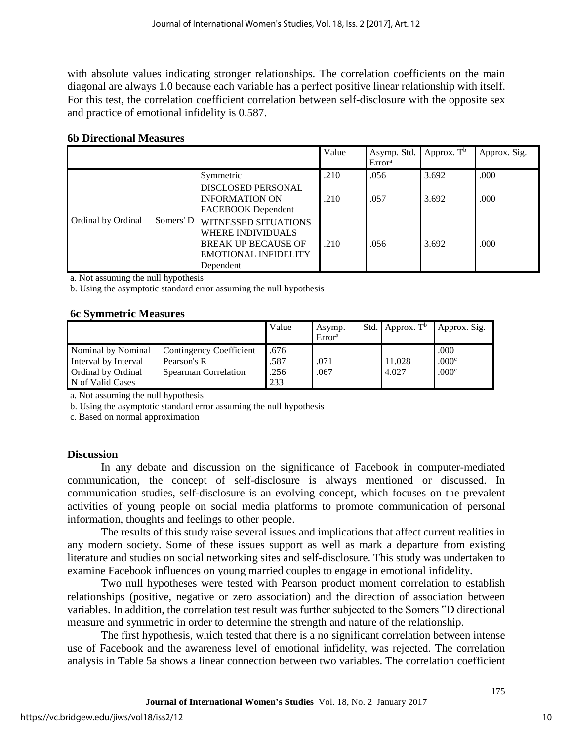with absolute values indicating stronger relationships. The correlation coefficients on the main diagonal are always 1.0 because each variable has a perfect positive linear relationship with itself. For this test, the correlation coefficient correlation between self-disclosure with the opposite sex and practice of emotional infidelity is 0.587.

#### **6b Directional Measures**

|                    |           |                                                                                                                                   | Value | Asymp. Std.<br>Error <sup>a</sup> | Approx. $Tb$ | Approx. Sig. |
|--------------------|-----------|-----------------------------------------------------------------------------------------------------------------------------------|-------|-----------------------------------|--------------|--------------|
|                    |           | Symmetric                                                                                                                         | .210  | .056                              | 3.692        | .000         |
|                    |           | <b>DISCLOSED PERSONAL</b><br><b>INFORMATION ON</b><br>FACEBOOK Dependent                                                          | .210  | .057                              | 3.692        | .000         |
| Ordinal by Ordinal | Somers' D | <b>WITNESSED SITUATIONS</b><br><b>WHERE INDIVIDUALS</b><br><b>BREAK UP BECAUSE OF</b><br><b>EMOTIONAL INFIDELITY</b><br>Dependent | .210  | .056                              | 3.692        | .000         |

a. Not assuming the null hypothesis

b. Using the asymptotic standard error assuming the null hypothesis

#### **6c Symmetric Measures**

|                           |                             | Value | Asymp.<br>Error <sup>a</sup> | Std. Approx. $T^b$ | Approx. Sig.      |
|---------------------------|-----------------------------|-------|------------------------------|--------------------|-------------------|
| Nominal by Nominal        | Contingency Coefficient     | .676  |                              |                    | .000              |
| Interval by Interval      | Pearson's R                 | .587  | .071                         | 11.028             | .000c             |
| <b>Ordinal by Ordinal</b> | <b>Spearman Correlation</b> | .256  | .067                         | 4.027              | .000 <sup>c</sup> |
| N of Valid Cases          |                             | 233   |                              |                    |                   |

a. Not assuming the null hypothesis

b. Using the asymptotic standard error assuming the null hypothesis

c. Based on normal approximation

#### **Discussion**

In any debate and discussion on the significance of Facebook in computer-mediated communication, the concept of self-disclosure is always mentioned or discussed. In communication studies, self-disclosure is an evolving concept, which focuses on the prevalent activities of young people on social media platforms to promote communication of personal information, thoughts and feelings to other people.

The results of this study raise several issues and implications that affect current realities in any modern society. Some of these issues support as well as mark a departure from existing literature and studies on social networking sites and self-disclosure. This study was undertaken to examine Facebook influences on young married couples to engage in emotional infidelity.

Two null hypotheses were tested with Pearson product moment correlation to establish relationships (positive, negative or zero association) and the direction of association between variables. In addition, the correlation test result was further subjected to the Somers "D directional measure and symmetric in order to determine the strength and nature of the relationship.

The first hypothesis, which tested that there is a no significant correlation between intense use of Facebook and the awareness level of emotional infidelity, was rejected. The correlation analysis in Table 5a shows a linear connection between two variables. The correlation coefficient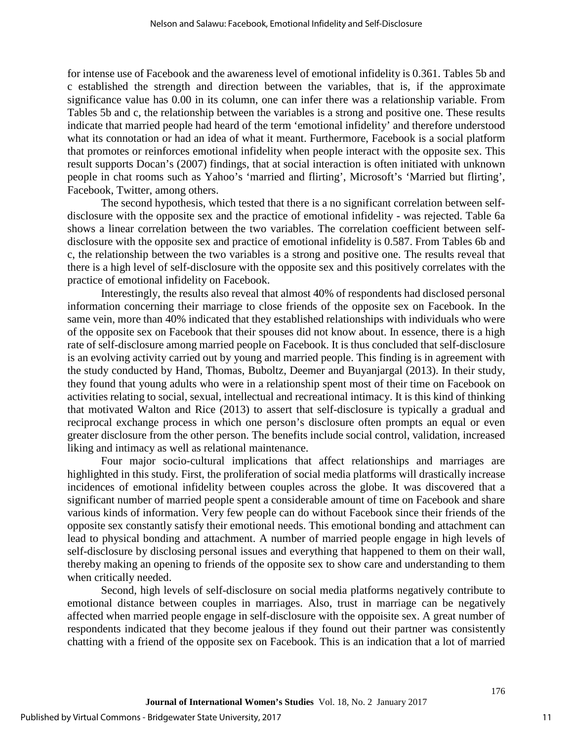for intense use of Facebook and the awareness level of emotional infidelity is 0.361. Tables 5b and c established the strength and direction between the variables, that is, if the approximate significance value has 0.00 in its column, one can infer there was a relationship variable. From Tables 5b and c, the relationship between the variables is a strong and positive one. These results indicate that married people had heard of the term 'emotional infidelity' and therefore understood what its connotation or had an idea of what it meant. Furthermore, Facebook is a social platform that promotes or reinforces emotional infidelity when people interact with the opposite sex. This result supports Docan's (2007) findings, that at social interaction is often initiated with unknown people in chat rooms such as Yahoo's 'married and flirting', Microsoft's 'Married but flirting', Facebook, Twitter, among others.

The second hypothesis, which tested that there is a no significant correlation between selfdisclosure with the opposite sex and the practice of emotional infidelity - was rejected. Table 6a shows a linear correlation between the two variables. The correlation coefficient between selfdisclosure with the opposite sex and practice of emotional infidelity is 0.587. From Tables 6b and c, the relationship between the two variables is a strong and positive one. The results reveal that there is a high level of self-disclosure with the opposite sex and this positively correlates with the practice of emotional infidelity on Facebook.

Interestingly, the results also reveal that almost 40% of respondents had disclosed personal information concerning their marriage to close friends of the opposite sex on Facebook. In the same vein, more than 40% indicated that they established relationships with individuals who were of the opposite sex on Facebook that their spouses did not know about. In essence, there is a high rate of self-disclosure among married people on Facebook. It is thus concluded that self-disclosure is an evolving activity carried out by young and married people. This finding is in agreement with the study conducted by Hand, Thomas, Buboltz, Deemer and Buyanjargal (2013). In their study, they found that young adults who were in a relationship spent most of their time on Facebook on activities relating to social, sexual, intellectual and recreational intimacy. It is this kind of thinking that motivated Walton and Rice (2013) to assert that self-disclosure is typically a gradual and reciprocal exchange process in which one person's disclosure often prompts an equal or even greater disclosure from the other person. The benefits include social control, validation, increased liking and intimacy as well as relational maintenance.

Four major socio-cultural implications that affect relationships and marriages are highlighted in this study. First, the proliferation of social media platforms will drastically increase incidences of emotional infidelity between couples across the globe. It was discovered that a significant number of married people spent a considerable amount of time on Facebook and share various kinds of information. Very few people can do without Facebook since their friends of the opposite sex constantly satisfy their emotional needs. This emotional bonding and attachment can lead to physical bonding and attachment. A number of married people engage in high levels of self-disclosure by disclosing personal issues and everything that happened to them on their wall, thereby making an opening to friends of the opposite sex to show care and understanding to them when critically needed.

Second, high levels of self-disclosure on social media platforms negatively contribute to emotional distance between couples in marriages. Also, trust in marriage can be negatively affected when married people engage in self-disclosure with the oppoisite sex. A great number of respondents indicated that they become jealous if they found out their partner was consistently chatting with a friend of the opposite sex on Facebook. This is an indication that a lot of married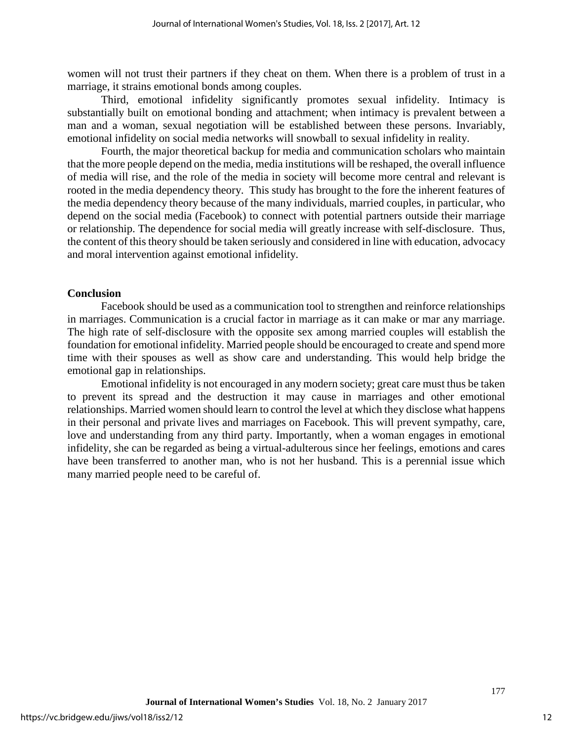women will not trust their partners if they cheat on them. When there is a problem of trust in a marriage, it strains emotional bonds among couples.

Third, emotional infidelity significantly promotes sexual infidelity. Intimacy is substantially built on emotional bonding and attachment; when intimacy is prevalent between a man and a woman, sexual negotiation will be established between these persons. Invariably, emotional infidelity on social media networks will snowball to sexual infidelity in reality.

Fourth, the major theoretical backup for media and communication scholars who maintain that the more people depend on the media, media institutions will be reshaped, the overall influence of media will rise, and the role of the media in society will become more central and relevant is rooted in the media dependency theory. This study has brought to the fore the inherent features of the media dependency theory because of the many individuals, married couples, in particular, who depend on the social media (Facebook) to connect with potential partners outside their marriage or relationship. The dependence for social media will greatly increase with self-disclosure. Thus, the content of this theory should be taken seriously and considered in line with education, advocacy and moral intervention against emotional infidelity.

#### **Conclusion**

Facebook should be used as a communication tool to strengthen and reinforce relationships in marriages. Communication is a crucial factor in marriage as it can make or mar any marriage. The high rate of self-disclosure with the opposite sex among married couples will establish the foundation for emotional infidelity. Married people should be encouraged to create and spend more time with their spouses as well as show care and understanding. This would help bridge the emotional gap in relationships.

Emotional infidelity is not encouraged in any modern society; great care must thus be taken to prevent its spread and the destruction it may cause in marriages and other emotional relationships. Married women should learn to control the level at which they disclose what happens in their personal and private lives and marriages on Facebook. This will prevent sympathy, care, love and understanding from any third party. Importantly, when a woman engages in emotional infidelity, she can be regarded as being a virtual-adulterous since her feelings, emotions and cares have been transferred to another man, who is not her husband. This is a perennial issue which many married people need to be careful of.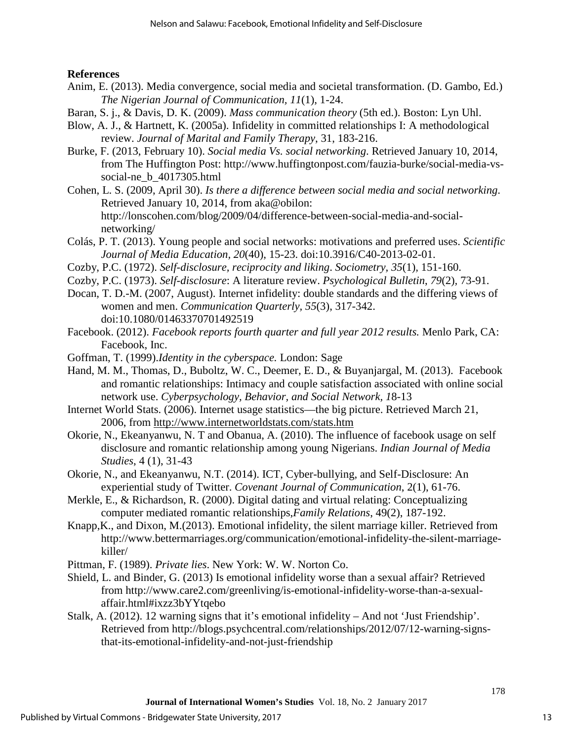**References** 

- Anim, E. (2013). Media convergence, social media and societal transformation. (D. Gambo, Ed.) *The Nigerian Journal of Communication, 11*(1), 1-24.
- Baran, S. j., & Davis, D. K. (2009). *Mass communication theory* (5th ed.). Boston: Lyn Uhl.
- Blow, A. J., & Hartnett, K. (2005a). Infidelity in committed relationships I: A methodological review. *Journal of Marital and Family Therapy*, 31, 183-216.
- Burke, F. (2013, February 10). *Social media Vs. social networking*. Retrieved January 10, 2014, from The Huffington Post: http://www.huffingtonpost.com/fauzia-burke/social-media-vssocial-ne\_b\_4017305.html
- Cohen, L. S. (2009, April 30). *Is there a difference between social media and social networking*. Retrieved January 10, 2014, from aka@obilon: http://lonscohen.com/blog/2009/04/difference-between-social-media-and-socialnetworking/
- Colás, P. T. (2013). Young people and social networks: motivations and preferred uses. *Scientific Journal of Media Education, 20*(40), 15-23. doi:10.3916/C40-2013-02-01.
- Cozby, P.C. (1972). *Self-disclosure, reciprocity and liking*. *Sociometry, 35*(1)*,* 151-160.
- Cozby, P.C. (1973). *Self-disclosure*: A literature review. *Psychological Bulletin*, *79*(2)*,* 73-91.
- Docan, T. D.-M. (2007, August). Internet infidelity: double standards and the differing views of women and men. *Communication Quarterly, 55*(3), 317-342. doi:10.1080/01463370701492519
- Facebook. (2012). *Facebook reports fourth quarter and full year 2012 results.* Menlo Park, CA: Facebook, Inc.
- Goffman, T. (1999).*Identity in the cyberspace.* London: Sage
- Hand, M. M., Thomas, D., Buboltz, W. C., Deemer, E. D., & Buyanjargal, M. (2013). Facebook and romantic relationships: Intimacy and couple satisfaction associated with online social network use. *Cyberpsychology, Behavior, and Social Network, 1*8-13
- Internet World Stats. (2006). Internet usage statistics—the big picture. Retrieved March 21, 2006, from<http://www.internetworldstats.com/stats.htm>
- Okorie, N., Ekeanyanwu, N. T and Obanua, A. (2010). The influence of facebook usage on self disclosure and romantic relationship among young Nigerians. *Indian Journal of Media Studies*, 4 (1), 31-43
- Okorie, N., and Ekeanyanwu, N.T. (2014). ICT, Cyber-bullying, and Self-Disclosure: An experiential study of Twitter. *Covenant Journal of Communication*, 2(1), 61-76.
- Merkle, E., & Richardson, R. (2000). Digital dating and virtual relating: Conceptualizing computer mediated romantic relationships,*Family Relations*, 49(2), 187-192.
- Knapp,K., and Dixon, M.(2013). Emotional infidelity, the silent marriage killer. Retrieved from http://www.bettermarriages.org/communication/emotional-infidelity-the-silent-marriagekiller/
- Pittman, F. (1989). *Private lies*. New York: W. W. Norton Co.
- Shield, L. and Binder, G. (2013) Is emotional infidelity worse than a sexual affair? Retrieved from http://www.care2.com/greenliving/is-emotional-infidelity-worse-than-a-sexualaffair.html#ixzz3bYYtqebo
- Stalk, A. (2012). 12 warning signs that it's emotional infidelity And not 'Just Friendship'. Retrieved from http://blogs.psychcentral.com/relationships/2012/07/12-warning-signsthat-its-emotional-infidelity-and-not-just-friendship